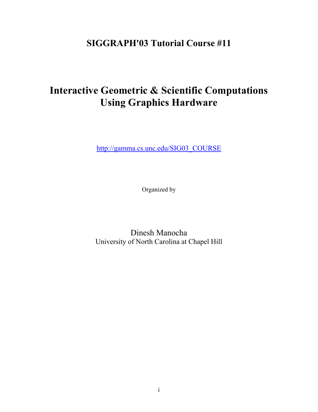# **SIGGRAPH'03 Tutorial Course #11**

# **Interactive Geometric & Scientific Computations Using Graphics Hardware**

[http://gamma.cs.unc.edu/SIG03\\_COURSE](http://gamma-web.iacs.umd.edu/SIG03_COURSE)

Organized by

Dinesh Manocha University of North Carolina at Chapel Hill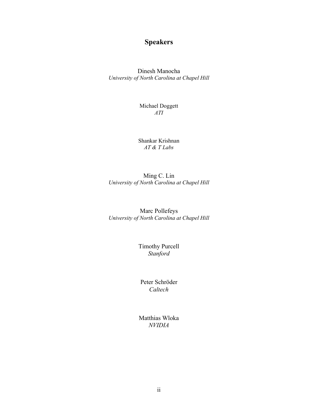# **Speakers**

Dinesh Manocha *University of North Carolina at Chapel Hill*

> Michael Doggett *ATI*

Shankar Krishnan *AT & T Labs* 

Ming C. Lin *University of North Carolina at Chapel Hill*

Marc Pollefeys *University of North Carolina at Chapel Hill*

> Timothy Purcell *Stanford*

Peter Schröder *Caltech*

Matthias Wloka *NVIDIA*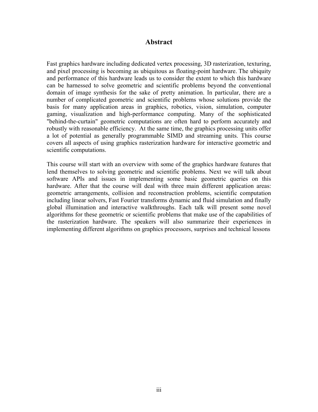### **Abstract**

Fast graphics hardware including dedicated vertex processing, 3D rasterization, texturing, and pixel processing is becoming as ubiquitous as floating-point hardware. The ubiquity and performance of this hardware leads us to consider the extent to which this hardware can be harnessed to solve geometric and scientific problems beyond the conventional domain of image synthesis for the sake of pretty animation. In particular, there are a number of complicated geometric and scientific problems whose solutions provide the basis for many application areas in graphics, robotics, vision, simulation, computer gaming, visualization and high-performance computing. Many of the sophisticated "behind-the-curtain" geometric computations are often hard to perform accurately and robustly with reasonable efficiency. At the same time, the graphics processing units offer a lot of potential as generally programmable SIMD and streaming units. This course covers all aspects of using graphics rasterization hardware for interactive geometric and scientific computations.

This course will start with an overview with some of the graphics hardware features that lend themselves to solving geometric and scientific problems. Next we will talk about software APIs and issues in implementing some basic geometric queries on this hardware. After that the course will deal with three main different application areas: geometric arrangements, collision and reconstruction problems, scientific computation including linear solvers, Fast Fourier transforms dynamic and fluid simulation and finally global illumination and interactive walkthroughs. Each talk will present some novel algorithms for these geometric or scientific problems that make use of the capabilities of the rasterization hardware. The speakers will also summarize their experiences in implementing different algorithms on graphics processors, surprises and technical lessons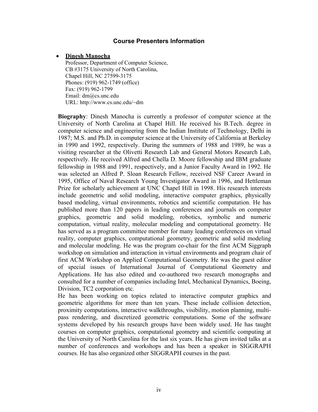#### **Course Presenters Information**

#### • **Dinesh Manocha**

Professor, Department of Computer Science, CB #3175 University of North Carolina, Chapel Hill, NC 27599-3175 Phones: (919) 962-1749 (office) Fax: (919) 962-1799 Email: dm@cs.unc.edu URL: http://www.cs.unc.edu/~dm

**Biography**: Dinesh Manocha is currently a professor of computer science at the University of North Carolina at Chapel Hill. He received his B.Tech. degree in computer science and engineering from the Indian Institute of Technology, Delhi in 1987; M.S. and Ph.D. in computer science at the University of California at Berkeley in 1990 and 1992, respectively. During the summers of 1988 and 1989, he was a visiting researcher at the Olivetti Research Lab and General Motors Research Lab, respectively. He received Alfred and Chella D. Moore fellowship and IBM graduate fellowship in 1988 and 1991, respectively, and a Junior Faculty Award in 1992. He was selected an Alfred P. Sloan Research Fellow, received NSF Career Award in 1995, Office of Naval Research Young Investigator Award in 1996, and Hettleman Prize for scholarly achievement at UNC Chapel Hill in 1998. His research interests include geometric and solid modeling, interactive computer graphics, physically based modeling, virtual environments, robotics and scientific computation. He has published more than 120 papers in leading conferences and journals on computer graphics, geometric and solid modeling, robotics, symbolic and numeric computation, virtual reality, molecular modeling and computational geometry. He has served as a program committee member for many leading conferences on virtual reality, computer graphics, computational geometry, geometric and solid modeling and molecular modeling. He was the program co-chair for the first ACM Siggraph workshop on simulation and interaction in virtual environments and program chair of first ACM Workshop on Applied Computational Geometry. He was the guest editor of special issues of International Journal of Computational Geometry and Applications. He has also edited and co-authored two research monographs and consulted for a number of companies including Intel, Mechanical Dynamics, Boeing, Division, TC2 corporation etc.

He has been working on topics related to interactive computer graphics and geometric algorithms for more than ten years. These include collision detection, proximity computations, interactive walkthroughs, visibility, motion planning, multipass rendering, and discretized geometric computations. Some of the software systems developed by his research groups have been widely used. He has taught courses on computer graphics, computational geometry and scientific computing at the University of North Carolina for the last six years. He has given invited talks at a number of conferences and workshops and has been a speaker in SIGGRAPH courses. He has also organized other SIGGRAPH courses in the past.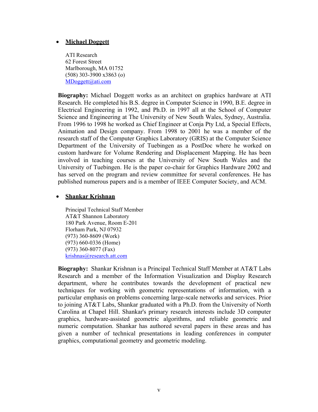#### • **Michael Doggett**

ATI Research 62 Forest Street Marlborough, MA 01752 (508) 303-3900 x3863 (o) [MDoggett@ati.com](mailto:MDoggett@ati.com)

**Biography:** Michael Doggett works as an architect on graphics hardware at ATI Research. He completed his B.S. degree in Computer Science in 1990, B.E. degree in Electrical Engineering in 1992, and Ph.D. in 1997 all at the School of Computer Science and Engineering at The University of New South Wales, Sydney, Australia. From 1996 to 1998 he worked as Chief Engineer at Conja Pty Ltd, a Special Effects, Animation and Design company. From 1998 to 2001 he was a member of the research staff of the Computer Graphics Laboratory (GRIS) at the Computer Science Department of the University of Tuebingen as a PostDoc where he worked on custom hardware for Volume Rendering and Displacement Mapping. He has been involved in teaching courses at the University of New South Wales and the University of Tuebingen. He is the paper co-chair for Graphics Hardware 2002 and has served on the program and review committee for several conferences. He has published numerous papers and is a member of IEEE Computer Society, and ACM.

#### • **Shankar Krishnan**

Principal Technical Staff Member AT&T Shannon Laboratory 180 Park Avenue, Room E-201 Florham Park, NJ 07932 (973) 360-8609 (Work) (973) 660-0336 (Home) (973) 360-8077 (Fax) [krishnas@research.att.com](mailto:krishnas@research.att.com)

**Biography:** Shankar Krishnan is a Principal Technical Staff Member at AT&T Labs Research and a member of the Information Visualization and Display Research department, where he contributes towards the development of practical new techniques for working with geometric representations of information, with a particular emphasis on problems concerning large-scale networks and services. Prior to joining AT&T Labs, Shankar graduated with a Ph.D. from the University of North Carolina at Chapel Hill. Shankar's primary research interests include 3D computer graphics, hardware-assisted geometric algorithms, and reliable geometric and numeric computation. Shankar has authored several papers in these areas and has given a number of technical presentations in leading conferences in computer graphics, computational geometry and geometric modeling.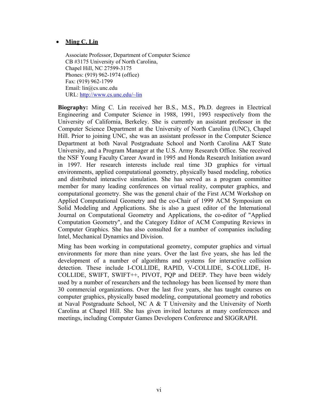#### • **Ming C. Lin**

Associate Professor, Department of Computer Science CB #3175 University of North Carolina, Chapel Hill, NC 27599-3175 Phones: (919) 962-1974 (office) Fax: (919) 962-1799 Email: lin@cs.unc.edu URL: <http://www.cs.unc.edu/~lin>

**Biography:** Ming C. Lin received her B.S., M.S., Ph.D. degrees in Electrical Engineering and Computer Science in 1988, 1991, 1993 respectively from the University of California, Berkeley. She is currently an assistant professor in the Computer Science Department at the University of North Carolina (UNC), Chapel Hill. Prior to joining UNC, she was an assistant professor in the Computer Science Department at both Naval Postgraduate School and North Carolina A&T State University, and a Program Manager at the U.S. Army Research Office. She received the NSF Young Faculty Career Award in 1995 and Honda Research Initiation award in 1997. Her research interests include real time 3D graphics for virtual environments, applied computational geometry, physically based modeling, robotics and distributed interactive simulation. She has served as a program committee member for many leading conferences on virtual reality, computer graphics, and computational geometry. She was the general chair of the First ACM Workshop on Applied Computational Geometry and the co-Chair of 1999 ACM Symposium on Solid Modeling and Applications. She is also a guest editor of the International Journal on Computational Geometry and Applications, the co-editor of "Applied Computation Geometry", and the Category Editor of ACM Computing Reviews in Computer Graphics. She has also consulted for a number of companies including Intel, Mechanical Dynamics and Division.

Ming has been working in computational geometry, computer graphics and virtual environments for more than nine years. Over the last five years, she has led the development of a number of algorithms and systems for interactive collision detection. These include I-COLLIDE, RAPID, V-COLLIDE, S-COLLIDE, H-COLLIDE, SWIFT, SWIFT++, PIVOT, PQP and DEEP. They have been widely used by a number of researchers and the technology has been licensed by more than 30 commercial organizations. Over the last five years, she has taught courses on computer graphics, physically based modeling, computational geometry and robotics at Naval Postgraduate School, NC A & T University and the University of North Carolina at Chapel Hill. She has given invited lectures at many conferences and meetings, including Computer Games Developers Conference and SIGGRAPH.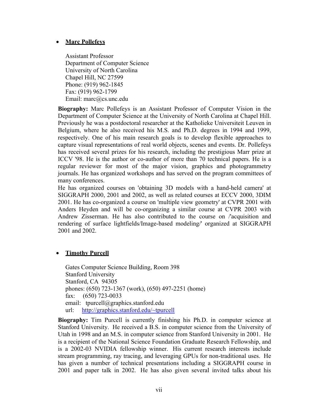## • **Marc Pollefeys**

Assistant Professor Department of Computer Science University of North Carolina Chapel Hill, NC 27599 Phone: (919) 962-1845 Fax: (919) 962-1799 Email: marc@cs.unc.edu

**Biography:** Marc Pollefeys is an Assistant Professor of Computer Vision in the Department of Computer Science at the University of North Carolina at Chapel Hill. Previously he was a postdoctoral researcher at the Katholieke Universiteit Leuven in Belgium, where he also received his M.S. and Ph.D. degrees in 1994 and 1999, respectively. One of his main research goals is to develop flexible approaches to capture visual representations of real world objects, scenes and events. Dr. Pollefeys has received several prizes for his research, including the prestigious Marr prize at ICCV '98. He is the author or co-author of more than 70 technical papers. He is a regular reviewer for most of the major vision, graphics and photogrammetry journals. He has organized workshops and has served on the program committees of many conferences.

He has organized courses on 'obtaining 3D models with a hand-held camera' at SIGGRAPH 2000, 2001 and 2002, as well as related courses at ECCV 2000, 3DIM 2001. He has co-organized a course on 'multiple view geometry' at CVPR 2001 with Anders Heyden and will be co-organizing a similar course at CVPR 2003 with Andrew Zisserman. He has also contributed to the course on /'acquisition and rendering of surface lightfields/Image-based modeling/' organized at SIGGRAPH 2001 and 2002.

## • **Timothy Purcell**

Gates Computer Science Building, Room 398 Stanford University Stanford, CA 94305 phones: (650) 723-1367 (work), (650) 497-2251 (home) fax: (650) 723-0033 email: tpurcell@graphics.stanford.edu url: <http://graphics.stanford.edu/~tpurcell>

**Biography:** Tim Purcell is currently finishing his Ph.D. in computer science at Stanford University. He received a B.S. in computer science from the University of Utah in 1998 and an M.S. in computer science from Stanford University in 2001. He is a recipient of the National Science Foundation Graduate Research Fellowship, and is a 2002-03 NVIDIA fellowship winner. His current research interests include stream programming, ray tracing, and leveraging GPUs for non-traditional uses. He has given a number of technical presentations including a SIGGRAPH course in 2001 and paper talk in 2002. He has also given several invited talks about his